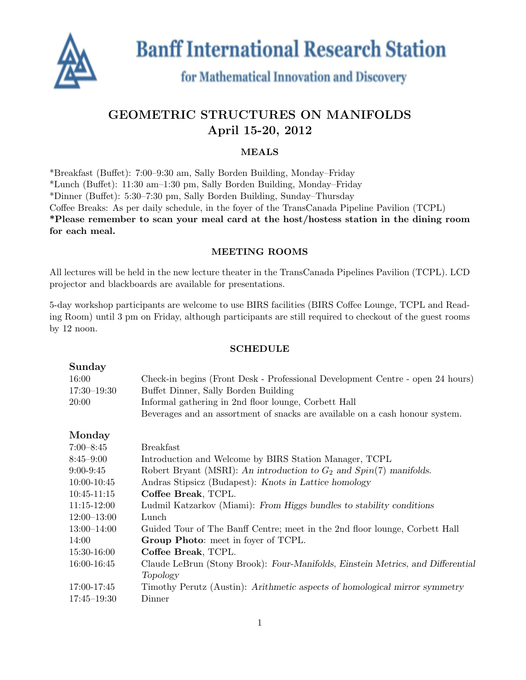

**Banff International Research Station** 

# for Mathematical Innovation and Discovery

## GEOMETRIC STRUCTURES ON MANIFOLDS April 15-20, 2012

### MEALS

\*Breakfast (Buffet): 7:00–9:30 am, Sally Borden Building, Monday–Friday \*Lunch (Buffet): 11:30 am–1:30 pm, Sally Borden Building, Monday–Friday \*Dinner (Buffet): 5:30–7:30 pm, Sally Borden Building, Sunday–Thursday Coffee Breaks: As per daily schedule, in the foyer of the TransCanada Pipeline Pavilion (TCPL) \*Please remember to scan your meal card at the host/hostess station in the dining room for each meal.

#### MEETING ROOMS

All lectures will be held in the new lecture theater in the TransCanada Pipelines Pavilion (TCPL). LCD projector and blackboards are available for presentations.

5-day workshop participants are welcome to use BIRS facilities (BIRS Coffee Lounge, TCPL and Reading Room) until 3 pm on Friday, although participants are still required to checkout of the guest rooms by 12 noon.

#### SCHEDULE

| Sunday          |                                                                                 |
|-----------------|---------------------------------------------------------------------------------|
| 16:00           | Check-in begins (Front Desk - Professional Development Centre - open 24 hours)  |
| $17:30 - 19:30$ | Buffet Dinner, Sally Borden Building                                            |
| 20:00           | Informal gathering in 2nd floor lounge, Corbett Hall                            |
|                 | Beverages and an assortment of snacks are available on a cash honour system.    |
| Monday          |                                                                                 |
| $7:00 - 8:45$   | <b>Breakfast</b>                                                                |
| $8:45 - 9:00$   | Introduction and Welcome by BIRS Station Manager, TCPL                          |
| $9:00-9:45$     | Robert Bryant (MSRI): An introduction to $G_2$ and $Spin(7)$ manifolds.         |
| 10:00-10:45     | Andras Stipsicz (Budapest): Knots in Lattice homology                           |
| $10:45-11:15$   | Coffee Break, TCPL.                                                             |
| $11:15-12:00$   | Ludmil Katzarkov (Miami): From Higgs bundles to stability conditions            |
| $12:00 - 13:00$ | Lunch                                                                           |
| $13:00 - 14:00$ | Guided Tour of The Banff Centre; meet in the 2nd floor lounge, Corbett Hall     |
| 14:00           | Group Photo: meet in foyer of TCPL.                                             |
| $15:30-16:00$   | Coffee Break, TCPL.                                                             |
| 16:00-16:45     | Claude LeBrun (Stony Brook): Four-Manifolds, Einstein Metrics, and Differential |
|                 | Topology                                                                        |
| 17:00-17:45     | Timothy Perutz (Austin): Arithmetic aspects of homological mirror symmetry      |
| $17:45 - 19:30$ | Dinner                                                                          |